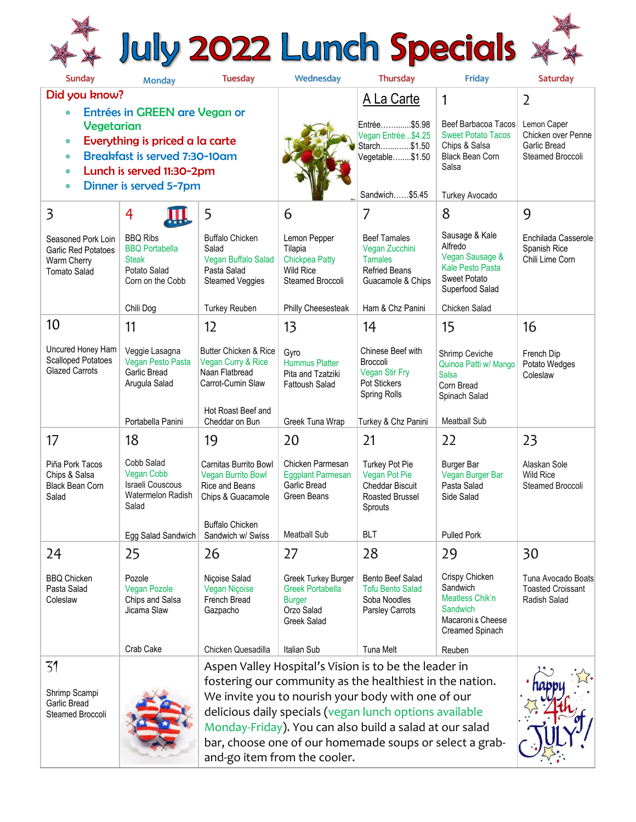## \*\* July 2022 Lunch Specials \*\*

| Sunday                                                                                                                                                                                                                                         | Monday                                                                                       | <b>Tuesday</b>                                                                                                                                                                                                                                                                                                                                                                           | Wednesday                                                                                    | Thursday                                                                                              | Friday                                                                                                                 | Saturday                                                              |
|------------------------------------------------------------------------------------------------------------------------------------------------------------------------------------------------------------------------------------------------|----------------------------------------------------------------------------------------------|------------------------------------------------------------------------------------------------------------------------------------------------------------------------------------------------------------------------------------------------------------------------------------------------------------------------------------------------------------------------------------------|----------------------------------------------------------------------------------------------|-------------------------------------------------------------------------------------------------------|------------------------------------------------------------------------------------------------------------------------|-----------------------------------------------------------------------|
| Did you know?                                                                                                                                                                                                                                  |                                                                                              |                                                                                                                                                                                                                                                                                                                                                                                          |                                                                                              | A La Carte                                                                                            | 1                                                                                                                      | $\overline{2}$                                                        |
| Entrées in GREEN are Vegan or<br>$\bullet$<br>Vegetarian<br>Everything is priced a la carte<br>$\bullet$<br><b>Breakfast is served 7:30-10am</b><br>$\bullet$<br>Lunch is served 11:30-2pm<br>$\bullet$<br>Dinner is served 5-7pm<br>$\bullet$ |                                                                                              |                                                                                                                                                                                                                                                                                                                                                                                          |                                                                                              | Entrée\$5.98<br>Vegan Entrée\$4.25<br>Starch\$1.50<br>Vegetable\$1.50<br>Sandwich\$5.45               | <b>Beef Barbacoa Tacos</b><br><b>Sweet Potato Tacos</b><br>Chips & Salsa<br>Black Bean Corn<br>Salsa<br>Turkey Avocado | Lemon Caper<br>Chicken over Penne<br>Garlic Bread<br>Steamed Broccoli |
| $\overline{\mathbf{3}}$                                                                                                                                                                                                                        | $\overline{4}$                                                                               | 5                                                                                                                                                                                                                                                                                                                                                                                        | 6                                                                                            | 7                                                                                                     | 8                                                                                                                      | 9                                                                     |
| Seasoned Pork Loin<br><b>Garlic Red Potatoes</b><br>Warm Cherry<br><b>Tomato Salad</b>                                                                                                                                                         | <b>BBQ Ribs</b><br><b>BBQ</b> Portabella<br><b>Steak</b><br>Potato Salad<br>Corn on the Cobb | <b>Buffalo Chicken</b><br>Salad<br>Vegan Buffalo Salad<br>Pasta Salad<br><b>Steamed Veggies</b>                                                                                                                                                                                                                                                                                          | Lemon Pepper<br>Tilapia<br><b>Chickpea Patty</b><br><b>Wild Rice</b><br>Steamed Broccoli     | <b>Beef Tamales</b><br>Vegan Zucchini<br><b>Tamales</b><br><b>Refried Beans</b><br>Guacamole & Chips  | Sausage & Kale<br>Alfredo<br>Vegan Sausage &<br>Kale Pesto Pasta<br><b>Sweet Potato</b><br>Superfood Salad             | Enchilada Casserole<br>Spanish Rice<br>Chili Lime Corn                |
|                                                                                                                                                                                                                                                | Chili Dog                                                                                    | <b>Turkey Reuben</b>                                                                                                                                                                                                                                                                                                                                                                     | Philly Cheesesteak                                                                           | Ham & Chz Panini                                                                                      | Chicken Salad                                                                                                          |                                                                       |
| 10                                                                                                                                                                                                                                             | 11                                                                                           | 12                                                                                                                                                                                                                                                                                                                                                                                       | 13                                                                                           | 14                                                                                                    | 15                                                                                                                     | 16                                                                    |
| Uncured Honey Ham<br><b>Scalloped Potatoes</b><br><b>Glazed Carrots</b>                                                                                                                                                                        | Veggie Lasagna<br>Vegan Pesto Pasta<br><b>Garlic Bread</b><br>Arugula Salad                  | Butter Chicken & Rice<br>Vegan Curry & Rice<br>Naan Flatbread<br>Carrot-Cumin Slaw                                                                                                                                                                                                                                                                                                       | Gyro<br>Hummus Platter<br>Pita and Tzatziki<br><b>Fattoush Salad</b>                         | Chinese Beef with<br>Broccoli<br>Vegan Stir Fry<br><b>Pot Stickers</b><br>Spring Rolls                | Shrimp Ceviche<br>Quinoa Patti w/ Mango<br><b>Salsa</b><br>Corn Bread<br>Spinach Salad                                 | French Dip<br>Potato Wedges<br>Coleslaw                               |
|                                                                                                                                                                                                                                                | Portabella Panini                                                                            | Hot Roast Beef and<br>Cheddar on Bun                                                                                                                                                                                                                                                                                                                                                     | Greek Tuna Wrap                                                                              | Turkey & Chz Panini                                                                                   | <b>Meatball Sub</b>                                                                                                    |                                                                       |
| 17                                                                                                                                                                                                                                             | 18                                                                                           | 19                                                                                                                                                                                                                                                                                                                                                                                       | 20                                                                                           | 21                                                                                                    | 22                                                                                                                     | 23                                                                    |
| Piña Pork Tacos<br>Chips & Salsa<br><b>Black Bean Corn</b><br>Salad                                                                                                                                                                            | Cobb Salad<br><b>Vegan Cobb</b><br>Israeli Couscous<br>Watermelon Radish<br>Salad            | Carnitas Burrito Bowl<br><b>Vegan Burrito Bowl</b><br>Rice and Beans<br>Chips & Guacamole                                                                                                                                                                                                                                                                                                | Chicken Parmesan<br><b>Eggplant Parmesan</b><br>Garlic Bread<br>Green Beans                  | <b>Turkey Pot Pie</b><br>Vegan Pot Pie<br><b>Cheddar Biscuit</b><br><b>Roasted Brussel</b><br>Sprouts | Burger Bar<br>Vegan Burger Bar<br>Pasta Salad<br>Side Salad                                                            | Alaskan Sole<br><b>Wild Rice</b><br>Steamed Broccoli                  |
|                                                                                                                                                                                                                                                |                                                                                              | <b>Buffalo Chicken</b><br>Egg Salad Sandwich   Sandwich w/ Swiss                                                                                                                                                                                                                                                                                                                         | <b>Meatball Sub</b>                                                                          | <b>BLT</b>                                                                                            | <b>Pulled Pork</b>                                                                                                     |                                                                       |
| 24                                                                                                                                                                                                                                             | 25                                                                                           | 26                                                                                                                                                                                                                                                                                                                                                                                       | 27                                                                                           | 28                                                                                                    | 29                                                                                                                     | 30                                                                    |
| <b>BBQ Chicken</b><br>Pasta Salad<br>Coleslaw                                                                                                                                                                                                  | Pozole<br><b>Vegan Pozole</b><br>Chips and Salsa<br>Jicama Slaw                              | Niçoise Salad<br>Vegan Niçoise<br>French Bread<br>Gazpacho                                                                                                                                                                                                                                                                                                                               | Greek Turkey Burger<br><b>Greek Portabella</b><br><b>Burger</b><br>Orzo Salad<br>Greek Salad | Bento Beef Salad<br><b>Tofu Bento Salad</b><br>Soba Noodles<br>Parsley Carrots                        | Crispy Chicken<br>Sandwich<br>Meatless Chik'n<br>Sandwich<br>Macaroni & Cheese<br>Creamed Spinach                      | Tuna Avocado Boats<br><b>Toasted Croissant</b><br>Radish Salad        |
|                                                                                                                                                                                                                                                | Crab Cake                                                                                    | Chicken Quesadilla                                                                                                                                                                                                                                                                                                                                                                       | Italian Sub                                                                                  | <b>Tuna Melt</b>                                                                                      | Reuben                                                                                                                 |                                                                       |
| 31<br>Shrimp Scampi<br>Garlic Bread<br>Steamed Broccoli                                                                                                                                                                                        |                                                                                              | Aspen Valley Hospital's Vision is to be the leader in<br>fostering our community as the healthiest in the nation.<br>We invite you to nourish your body with one of our<br>delicious daily specials (vegan lunch options available<br>Monday-Friday). You can also build a salad at our salad<br>bar, choose one of our homemade soups or select a grab-<br>and-go item from the cooler. |                                                                                              |                                                                                                       |                                                                                                                        |                                                                       |